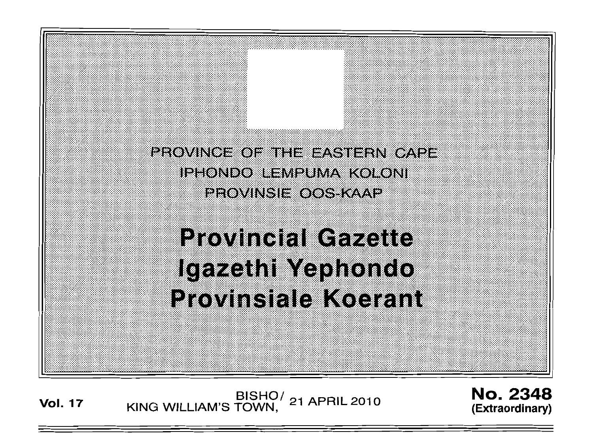PROVINCE OF THE EASTERN CAPE IPHONDO ILEMPUMA KOLONI EROVINSIE OOS KAAP

**Provincial Gazette** Igazethi Yephondo Provinsiale Koerant

BISHO/ 21 APRIL 2010<br>KING WILLIAM'S TOWN, **Vol. 17** 

**No. 2348** (Extraordinary)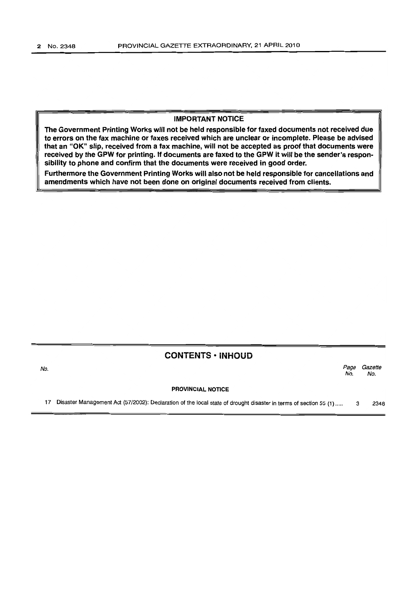### **IMPORTANT NOTICE**

**The Government Printing Works will not be held responsible for faxed documents not received due to errors on the fax machine or faxes received which are unclear or incomplete. Please be advised that an** "OK" **slip, received from a fax machine, will not be accepted as proof that documents were received by the GPW for printing. If documents are faxed to the GPW it will be the sender's responsibility to phone and confirm that the documents were received in good order.** 

**Furthermore the Government Printing Works will also not be held responsible for cancellations and amendments which have not been done on original documents received from clients.** 

## **CONTENTS • INHOUD**

No. Page Gazette No. No.

#### **PROVINCIAL NOTICE**

17 Disaster Management Act (57/2002): Declaration of the local state of drought disaster in terms of section 55 (1) ..... 3 2348